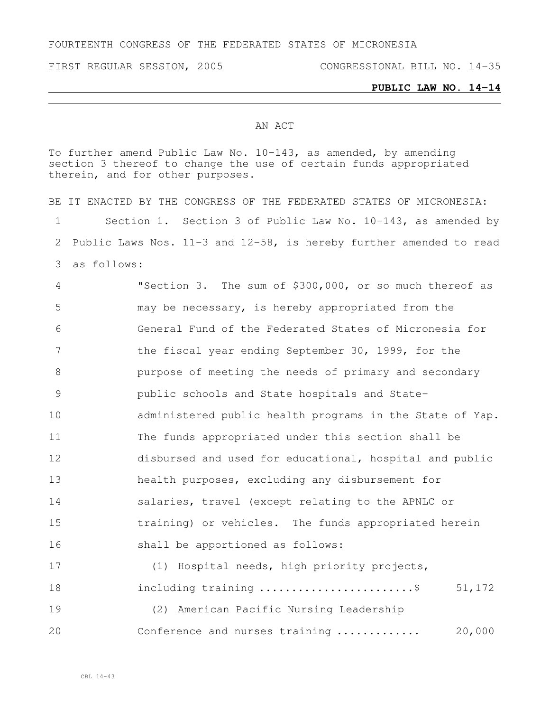FOURTEENTH CONGRESS OF THE FEDERATED STATES OF MICRONESIA

FIRST REGULAR SESSION, 2005 CONGRESSIONAL BILL NO. 14-35

## **PUBLIC LAW NO. 14-14**

## AN ACT

To further amend Public Law No. 10-143, as amended, by amending section 3 thereof to change the use of certain funds appropriated therein, and for other purposes.

BE IT ENACTED BY THE CONGRESS OF THE FEDERATED STATES OF MICRONESIA: Section 1. Section 3 of Public Law No. 10-143, as amended by Public Laws Nos. 11-3 and 12-58, is hereby further amended to read as follows: "Section 3. The sum of \$300,000, or so much thereof as may be necessary, is hereby appropriated from the General Fund of the Federated States of Micronesia for 7 the fiscal year ending September 30, 1999, for the purpose of meeting the needs of primary and secondary public schools and State hospitals and State- administered public health programs in the State of Yap. The funds appropriated under this section shall be disbursed and used for educational, hospital and public health purposes, excluding any disbursement for salaries, travel (except relating to the APNLC or training) or vehicles. The funds appropriated herein shall be apportioned as follows: (1) Hospital needs, high priority projects, 18 including training ............................\$ 51,172

 (2) American Pacific Nursing Leadership Conference and nurses training ............. 20,000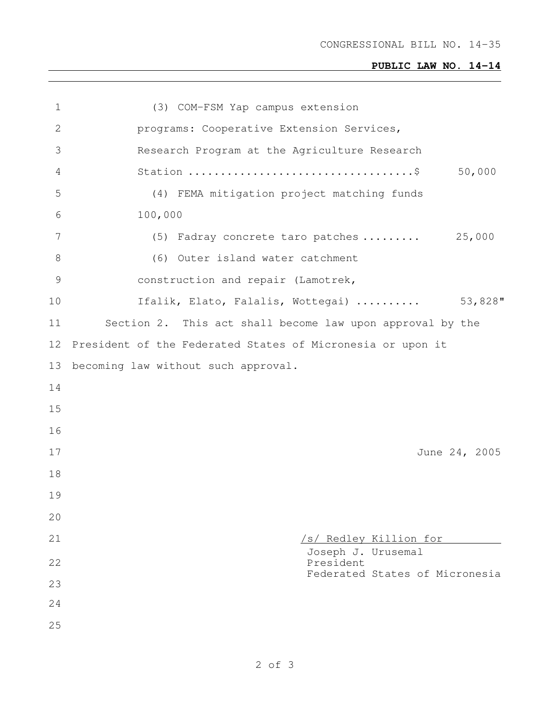CONGRESSIONAL BILL NO. 14-35

## **PUBLIC LAW NO. 14-14**

| $\mathbf 1$     | (3) COM-FSM Yap campus extension                           |
|-----------------|------------------------------------------------------------|
| 2               | programs: Cooperative Extension Services,                  |
| 3               | Research Program at the Agriculture Research               |
| 4               | 50,000                                                     |
| 5               | (4) FEMA mitigation project matching funds                 |
| 6               | 100,000                                                    |
| $7\phantom{.0}$ | (5) Fadray concrete taro patches  25,000                   |
| $8\,$           | (6) Outer island water catchment                           |
| $\mathcal{G}$   | construction and repair (Lamotrek,                         |
| 10              | 53,828"<br>Ifalik, Elato, Falalis, Wottegai)               |
| 11              | Section 2. This act shall become law upon approval by the  |
| 12              | President of the Federated States of Micronesia or upon it |
| 13              | becoming law without such approval.                        |
| 14              |                                                            |
| 15              |                                                            |
| 16              |                                                            |
| 17              | June 24, 2005                                              |
| 18              |                                                            |
| 19              |                                                            |
| 20              |                                                            |
| 21              | /s/ Redley Killion for                                     |
| 22              | Joseph J. Urusemal<br>President                            |
| 23              | Federated States of Micronesia                             |
| 24              |                                                            |
| 25              |                                                            |